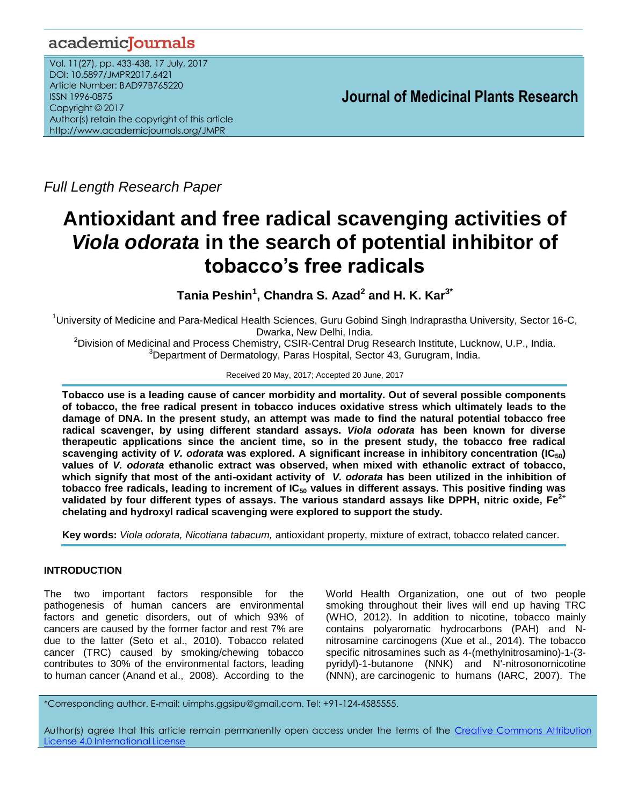# academicJournals

Vol. 11(27), pp. 433-438, 17 July, 2017 DOI: 10.5897/JMPR2017.6421 Article Number: BAD97B765220 ISSN 1996-0875 Copyright © 2017 Author(s) retain the copyright of this article http://www.academicjournals.org/JMPR

 **Journal of Medicinal Plants Research**

*Full Length Research Paper*

# **Antioxidant and free radical scavenging activities of**  *Viola odorata* **in the search of potential inhibitor of tobacco's free radicals**

**Tania Peshin<sup>1</sup> , Chandra S. Azad<sup>2</sup> and H. K. Kar3\***

<sup>1</sup>University of Medicine and Para-Medical Health Sciences, Guru Gobind Singh Indraprastha University, Sector 16-C, Dwarka, New Delhi, India.

<sup>2</sup>Division of Medicinal and Process Chemistry, CSIR-Central Drug Research Institute, Lucknow, U.P., India. <sup>3</sup>Department of Dermatology, Paras Hospital, Sector 43, Gurugram, India.

#### Received 20 May, 2017; Accepted 20 June, 2017

**Tobacco use is a leading cause of cancer morbidity and mortality. Out of several possible components of tobacco, the free radical present in tobacco induces oxidative stress which ultimately leads to the damage of DNA. In the present study, an attempt was made to find the natural potential tobacco free radical scavenger, by using different standard assays.** *Viola odorata* **has been known for diverse therapeutic applications since the ancient time, so in the present study, the tobacco free radical scavenging activity of** *V. odorata* **was explored. A significant increase in inhibitory concentration (IC50) values of** *V. odorata* **ethanolic extract was observed, when mixed with ethanolic extract of tobacco, which signify that most of the anti-oxidant activity of** *V. odorata* **has been utilized in the inhibition of tobacco free radicals, leading to increment of IC<sup>50</sup> values in different assays. This positive finding was validated by four different types of assays. The various standard assays like DPPH, nitric oxide, Fe2+ chelating and hydroxyl radical scavenging were explored to support the study.**

**Key words:** *Viola odorata, Nicotiana tabacum,* antioxidant property, mixture of extract, tobacco related cancer.

# **INTRODUCTION**

The two important factors responsible for the pathogenesis of human cancers are environmental factors and genetic disorders, out of which 93% of cancers are caused by the former factor and rest 7% are due to the latter (Seto et al., 2010). Tobacco related cancer (TRC) caused by smoking/chewing tobacco contributes to 30% of the environmental factors, leading to human cancer (Anand et al., 2008). According to the World Health Organization, one out of two people smoking throughout their lives will end up having TRC (WHO, 2012). In addition to nicotine, tobacco mainly contains polyaromatic hydrocarbons (PAH) and Nnitrosamine carcinogens (Xue et al., 2014). The tobacco specific nitrosamines such as 4-(methylnitrosamino)-1-(3 pyridyl)-1-butanone (NNK) and N'-nitrosonornicotine (NNN), are carcinogenic to humans (IARC, 2007). The

\*Corresponding author. E-mail: uimphs.ggsipu@gmail.com. Tel: +91-124-4585555.

Author(s) agree that this article remain permanently open access under the terms of the Creative Commons Attribution License 4.0 [International](http://creativecommons.org/licenses/by/4.0/deed.en_US) License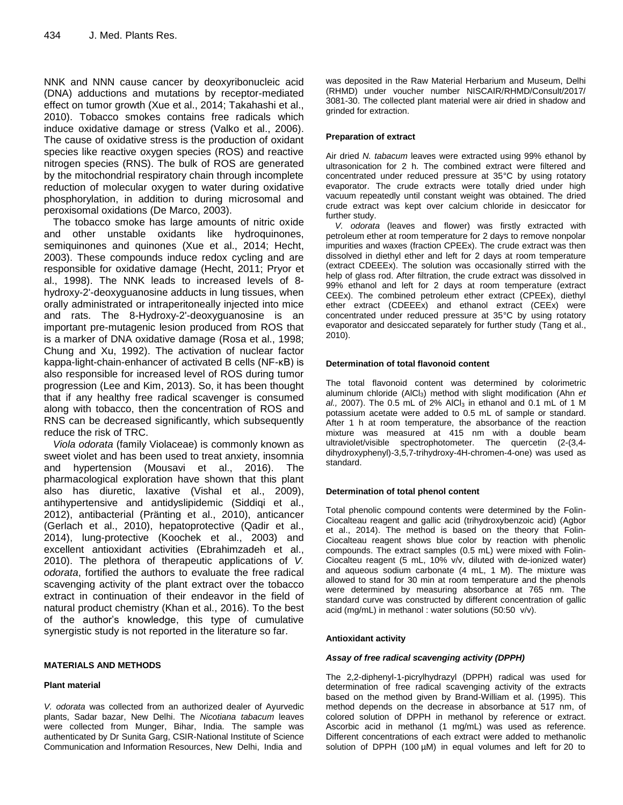NNK and NNN cause cancer by deoxyribonucleic acid (DNA) adductions and mutations by receptor-mediated effect on tumor growth (Xue et al., 2014; Takahashi et al., 2010). Tobacco smokes contains free radicals which induce oxidative damage or stress (Valko et al., 2006). The cause of oxidative stress is the production of oxidant species like reactive oxygen species (ROS) and reactive nitrogen species (RNS). The bulk of ROS are generated by the mitochondrial respiratory chain through incomplete reduction of molecular oxygen to water during oxidative phosphorylation, in addition to during microsomal and peroxisomal oxidations (De Marco, 2003).

The tobacco smoke has large amounts of nitric oxide and other unstable oxidants like hydroquinones, semiquinones and quinones (Xue et al., 2014; Hecht, 2003). These compounds induce redox cycling and are responsible for oxidative damage (Hecht, 2011; Pryor et al., 1998). The NNK leads to increased levels of 8 hydroxy-2'-deoxyguanosine adducts in lung tissues, when orally administrated or intraperitoneally injected into mice and rats. The 8-Hydroxy-2'-deoxyguanosine is an important pre-mutagenic lesion produced from ROS that is a marker of DNA oxidative damage (Rosa et al., 1998; Chung and Xu, 1992). The activation of nuclear factor kappa-light-chain-enhancer of activated B cells (NF-κB) is also responsible for increased level of ROS during tumor progression (Lee and Kim, 2013). So, it has been thought that if any healthy free radical scavenger is consumed along with tobacco, then the concentration of ROS and RNS can be decreased significantly, which subsequently reduce the risk of TRC.

*Viola odorata* (family Violaceae) is commonly known as sweet violet and has been used to treat anxiety, insomnia and hypertension (Mousavi et al., 2016). The pharmacological exploration have shown that this plant also has diuretic, laxative (Vishal et al., 2009), antihypertensive and antidyslipidemic (Siddiqi et al., 2012), antibacterial (Pränting et al., 2010), anticancer (Gerlach et al., 2010), hepatoprotective (Qadir et al., 2014), lung-protective (Koochek et al., 2003) and excellent antioxidant activities (Ebrahimzadeh et al., 2010). The plethora of therapeutic applications of *V. odorata*, fortified the authors to evaluate the free radical scavenging activity of the plant extract over the tobacco extract in continuation of their endeavor in the field of natural product chemistry (Khan et al., 2016). To the best of the author's knowledge, this type of cumulative synergistic study is not reported in the literature so far.

#### **MATERIALS AND METHODS**

#### **Plant material**

*V. odorata* was collected from an authorized dealer of Ayurvedic plants, Sadar bazar, New Delhi. The *Nicotiana tabacum* leaves were collected from Munger, Bihar, India. The sample was authenticated by Dr Sunita Garg, CSIR-National Institute of Science Communication and Information Resources, New Delhi, India and

was deposited in the Raw Material Herbarium and Museum, Delhi (RHMD) under voucher number NISCAIR/RHMD/Consult/2017/ 3081-30. The collected plant material were air dried in shadow and grinded for extraction.

#### **Preparation of extract**

Air dried *N. tabacum* leaves were extracted using 99% ethanol by ultrasonication for 2 h. The combined extract were filtered and concentrated under reduced pressure at 35°C by using rotatory evaporator. The crude extracts were totally dried under high vacuum repeatedly until constant weight was obtained. The dried crude extract was kept over calcium chloride in desiccator for further study.

*V. odorata* (leaves and flower) was firstly extracted with petroleum ether at room temperature for 2 days to remove nonpolar impurities and waxes (fraction CPEEx). The crude extract was then dissolved in diethyl ether and left for 2 days at room temperature (extract CDEEEx). The solution was occasionally stirred with the help of glass rod. After filtration, the crude extract was dissolved in 99% ethanol and left for 2 days at room temperature (extract CEEx). The combined petroleum ether extract (CPEEx), diethyl ether extract (CDEEEx) and ethanol extract (CEEx) were concentrated under reduced pressure at 35°C by using rotatory evaporator and desiccated separately for further study (Tang et al., 2010).

#### **Determination of total flavonoid content**

The total flavonoid content was determined by colorimetric aluminum chloride (AICl<sub>3</sub>) method with slight modification (Ahn *et* al., 2007). The 0.5 mL of 2% AlCl<sub>3</sub> in ethanol and 0.1 mL of 1 M potassium acetate were added to 0.5 mL of sample or standard. After 1 h at room temperature, the absorbance of the reaction mixture was measured at 415 nm with a double beam ultraviolet/visible spectrophotometer. The quercetin (2-(3,4 dihydroxyphenyl)-3,5,7-trihydroxy-4H-chromen-4-one) was used as standard.

#### **Determination of total phenol content**

Total phenolic compound contents were determined by the Folin-Ciocalteau reagent and gallic acid (trihydroxybenzoic acid) (Agbor et al., 2014). The method is based on the theory that Folin-Ciocalteau reagent shows blue color by reaction with phenolic compounds. The extract samples (0.5 mL) were mixed with Folin-Ciocalteu reagent (5 mL, 10% v/v, diluted with de-ionized water) and aqueous sodium carbonate (4 mL, 1 M). The mixture was allowed to stand for 30 min at room temperature and the phenols were determined by measuring absorbance at 765 nm. The standard curve was constructed by different concentration of gallic acid (mg/mL) in methanol : water solutions (50:50 v/v).

#### **Antioxidant activity**

#### *Assay of free radical scavenging activity (DPPH)*

The 2,2-diphenyl-1-picrylhydrazyl (DPPH) radical was used for determination of free radical scavenging activity of the extracts based on the method given by Brand-William et al. (1995). This method depends on the decrease in absorbance at 517 nm, of colored solution of DPPH in methanol by reference or extract. Ascorbic acid in methanol (1 mg/mL) was used as reference. Different concentrations of each extract were added to methanolic solution of DPPH (100 µM) in equal volumes and left for 20 to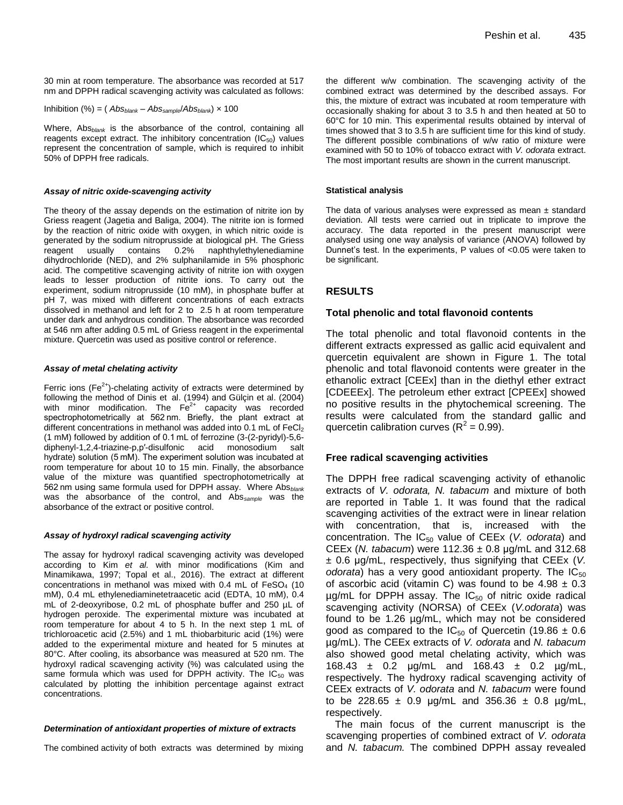30 min at room temperature. The absorbance was recorded at 517 nm and DPPH radical scavenging activity was calculated as follows:

Inhibition (%) = 
$$
(Abs_{blank} - Abs_{sample}/Abs_{blank}) \times 100
$$

Where, Abs*blank* is the absorbance of the control, containing all reagents except extract. The inhibitory concentration  $(IC_{50})$  values represent the concentration of sample, which is required to inhibit 50% of DPPH free radicals.

#### *Assay of nitric oxide-scavenging activity*

The theory of the assay depends on the estimation of nitrite ion by Griess reagent (Jagetia and Baliga, 2004). The nitrite ion is formed by the reaction of nitric oxide with oxygen, in which nitric oxide is generated by the sodium nitroprusside at biological pH. The Griess reagent usually contains 0.2% naphthylethylenediamine dihydrochloride (NED), and 2% sulphanilamide in 5% phosphoric acid. The competitive scavenging activity of nitrite ion with oxygen leads to lesser production of nitrite ions. To carry out the experiment, sodium nitroprusside (10 mM), in phosphate buffer at pH 7, was mixed with different concentrations of each extracts dissolved in methanol and left for 2 to 2.5 h at room temperature under dark and anhydrous condition. The absorbance was recorded at 546 nm after adding 0.5 mL of Griess reagent in the experimental mixture. Quercetin was used as positive control or reference.

#### *Assay of metal chelating activity*

Ferric ions (Fe<sup>2+</sup>)-chelating activity of extracts were determined by following the method of Dinis et al. (1994) and Gülçin et al. (2004) with minor modification. The  $Fe^{2+}$  capacity was recorded spectrophotometrically at 562 nm. Briefly, the plant extract at different concentrations in methanol was added into 0.1 mL of FeCl2 (1 mM) followed by addition of 0.1 mL of ferrozine (3-(2-pyridyl)-5,6 diphenyl-1,2,4-triazine-p,p′-disulfonic acid monosodium salt hydrate) solution (5 mM). The experiment solution was incubated at room temperature for about 10 to 15 min. Finally, the absorbance value of the mixture was quantified spectrophotometrically at 562 nm using same formula used for DPPH assay. Where Abs*blank* was the absorbance of the control, and Abs*sample* was the absorbance of the extract or positive control.

#### *Assay of hydroxyl radical scavenging activity*

The assay for hydroxyl radical scavenging activity was developed according to Kim *et al.* with minor modifications (Kim and Minamikawa, 1997; Topal et al., 2016). The extract at different concentrations in methanol was mixed with  $0.4$  mL of  $FeSO<sub>4</sub>$  (10 mM), 0.4 mL ethylenediaminetetraacetic acid (EDTA, 10 mM), 0.4 mL of 2-deoxyribose, 0.2 mL of phosphate buffer and 250 µL of hydrogen peroxide. The experimental mixture was incubated at room temperature for about 4 to 5 h. In the next step 1 mL of trichloroacetic acid (2.5%) and 1 mL thiobarbituric acid (1%) were added to the experimental mixture and heated for 5 minutes at 80°C. After cooling, its absorbance was measured at 520 nm. The hydroxyl radical scavenging activity (%) was calculated using the same formula which was used for DPPH activity. The  $IC_{50}$  was calculated by plotting the inhibition percentage against extract concentrations.

#### *Determination of antioxidant properties of mixture of extracts*

The combined activity of both extracts was determined by mixing

the different w/w combination. The scavenging activity of the combined extract was determined by the described assays. For this, the mixture of extract was incubated at room temperature with occasionally shaking for about 3 to 3.5 h and then heated at 50 to 60°C for 10 min. This experimental results obtained by interval of times showed that 3 to 3.5 h are sufficient time for this kind of study. The different possible combinations of w/w ratio of mixture were examined with 50 to 10% of tobacco extract with *V. odorata* extract. The most important results are shown in the current manuscript.

#### **Statistical analysis**

The data of various analyses were expressed as mean  $\pm$  standard deviation. All tests were carried out in triplicate to improve the accuracy. The data reported in the present manuscript were analysed using one way analysis of variance (ANOVA) followed by Dunnet's test. In the experiments, P values of <0.05 were taken to be significant.

## **RESULTS**

#### **Total phenolic and total flavonoid contents**

The total phenolic and total flavonoid contents in the different extracts expressed as gallic acid equivalent and quercetin equivalent are shown in Figure 1. The total phenolic and total flavonoid contents were greater in the ethanolic extract [CEEx] than in the diethyl ether extract [CDEEEx]. The petroleum ether extract [CPEEx] showed no positive results in the phytochemical screening. The results were calculated from the standard gallic and quercetin calibration curves ( $R^2$  = 0.99).

## **Free radical scavenging activities**

The DPPH free radical scavenging activity of ethanolic extracts of *V. odorata, N. tabacum* and mixture of both are reported in Table 1. It was found that the radical scavenging activities of the extract were in linear relation with concentration, that is, increased with the concentration. The IC<sub>50</sub> value of CEEx (*V. odorata*) and CEEx (*N. tabacum*) were 112.36 ± 0.8 μg/mL and 312.68 ± 0.6 μg/mL, respectively, thus signifying that CEEx (*V. odorata*) has a very good antioxidant property. The  $IC_{50}$ of ascorbic acid (vitamin C) was found to be  $4.98 \pm 0.3$  $\mu$ g/mL for DPPH assay. The IC<sub>50</sub> of nitric oxide radical scavenging activity (NORSA) of CEEx (*V.odorata*) was found to be 1.26 µg/mL, which may not be considered good as compared to the IC<sub>50</sub> of Quercetin (19.86  $\pm$  0.6 µg/mL). The CEEx extracts of *V. odorata* and *N. tabacum*  also showed good metal chelating activity, which was 168.43 ± 0.2 μg/mL and 168.43 ± 0.2 µg/mL, respectively. The hydroxy radical scavenging activity of CEEx extracts of *V. odorata* and *N. tabacum* were found to be 228.65  $\pm$  0.9 µg/mL and 356.36  $\pm$  0.8 µg/mL, respectively.

The main focus of the current manuscript is the scavenging properties of combined extract of *V. odorata* and *N. tabacum.* The combined DPPH assay revealed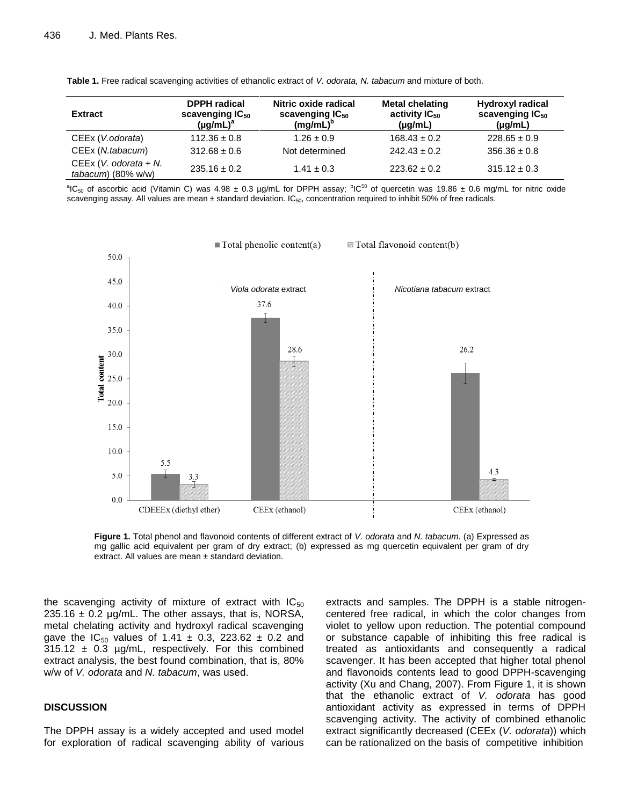| <b>Extract</b>                                  | <b>DPPH</b> radical<br>scavenging IC <sub>50</sub><br>$(\mu g/mL)^a$ | Nitric oxide radical<br>scavenging IC <sub>50</sub><br>$(mg/mL)^b$ | <b>Metal chelating</b><br>activity $IC_{50}$<br>$(\mu g/mL)$ | Hydroxyl radical<br>scavenging $IC_{50}$<br>$(\mu g/mL)$ |
|-------------------------------------------------|----------------------------------------------------------------------|--------------------------------------------------------------------|--------------------------------------------------------------|----------------------------------------------------------|
| CEEx (V.odorata)                                | $112.36 \pm 0.8$                                                     | $1.26 \pm 0.9$                                                     | $168.43 \pm 0.2$                                             | $228.65 \pm 0.9$                                         |
| CEEx (N.tabacum)                                | $312.68 \pm 0.6$                                                     | Not determined                                                     | $242.43 \pm 0.2$                                             | $356.36 \pm 0.8$                                         |
| $CEEx (V. odorata + N.$<br>$tabacum)$ (80% w/w) | $235.16 \pm 0.2$                                                     | $1.41 \pm 0.3$                                                     | $223.62 \pm 0.2$                                             | $315.12 \pm 0.3$                                         |

**Table 1.** Free radical scavenging activities of ethanolic extract of *V. odorata, N. tabacum* and mixture of both.

<sup>a</sup>IC<sub>50</sub> of ascorbic acid (Vitamin C) was 4.98 ± 0.3 µg/mL for DPPH assay;  ${}^{\text{b}}$ IC<sup>50</sup> of quercetin was 19.86 ± 0.6 mg/mL for nitric oxide scavenging assay. All values are mean  $\pm$  standard deviation. IC<sub>50</sub>, concentration required to inhibit 50% of free radicals.



**Figure 1.** Total phenol and flavonoid contents of different extract of *V. odorata* and *N. tabacum*. (a) Expressed as mg gallic acid equivalent per gram of dry extract; (b) expressed as mg quercetin equivalent per gram of dry extract. All values are mean ± standard deviation.

the scavenging activity of mixture of extract with  $IC_{50}$ 235.16  $\pm$  0.2 µg/mL. The other assays, that is, NORSA, metal chelating activity and hydroxyl radical scavenging gave the  $IC_{50}$  values of 1.41  $\pm$  0.3, 223.62  $\pm$  0.2 and  $315.12 \pm 0.3$  µg/mL, respectively. For this combined extract analysis, the best found combination, that is, 80% w/w of *V. odorata* and *N. tabacum*, was used.

#### **DISCUSSION**

The DPPH assay is a widely accepted and used model for exploration of radical scavenging ability of various extracts and samples. The DPPH is a stable nitrogencentered free radical, in which the color changes from violet to yellow upon reduction. The potential compound or substance capable of inhibiting this free radical is treated as antioxidants and consequently a radical scavenger. It has been accepted that higher total phenol and flavonoids contents lead to good DPPH-scavenging activity (Xu and Chang, 2007). From Figure 1, it is shown that the ethanolic extract of *V. odorata* has good antioxidant activity as expressed in terms of DPPH scavenging activity. The activity of combined ethanolic extract significantly decreased (CEEx (*V. odorata*)) which can be rationalized on the basis of competitive inhibition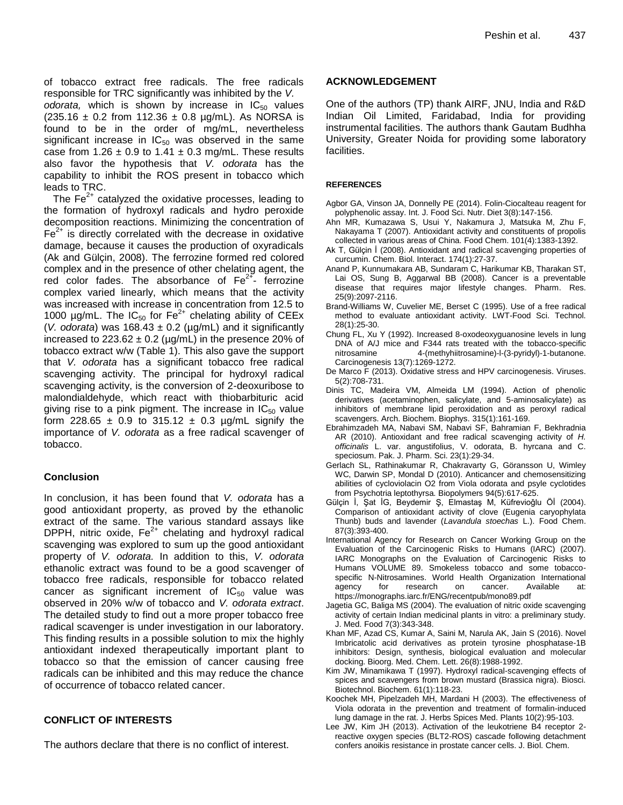of tobacco extract free radicals. The free radicals responsible for TRC significantly was inhibited by the *V.*  odorata, which is shown by increase in IC<sub>50</sub> values  $(235.16 \pm 0.2 \text{ from } 112.36 \pm 0.8 \text{ µg/mL})$ . As NORSA is found to be in the order of mg/mL, nevertheless significant increase in  $IC_{50}$  was observed in the same case from  $1.26 \pm 0.9$  to  $1.41 \pm 0.3$  mg/mL. These results also favor the hypothesis that *V. odorata* has the capability to inhibit the ROS present in tobacco which leads to TRC.

The  $Fe<sup>2+</sup>$  catalyzed the oxidative processes, leading to the formation of hydroxyl radicals and hydro peroxide decomposition reactions. Minimizing the concentration of  $Fe<sup>2+</sup>$  is directly correlated with the decrease in oxidative damage, because it causes the production of oxyradicals (Ak and Gülçin, 2008). The ferrozine formed red colored complex and in the presence of other chelating agent, the red color fades. The absorbance of  $\mathsf{Fe}^{2+}$  ferrozine complex varied linearly, which means that the activity was increased with increase in concentration from 12.5 to 1000 µg/mL. The  $IC_{50}$  for  $Fe^{2+}$  chelating ability of CEEx (*V. odorata*) was  $168.43 \pm 0.2$  ( $\mu$ g/mL) and it significantly increased to  $223.62 \pm 0.2$  (µg/mL) in the presence 20% of tobacco extract w/w (Table 1). This also gave the support that *V. odorata* has a significant tobacco free radical scavenging activity. The principal for hydroxyl radical scavenging activity, is the conversion of 2-deoxuribose to malondialdehyde, which react with thiobarbituric acid giving rise to a pink pigment. The increase in  $IC_{50}$  value form 228.65  $\pm$  0.9 to 315.12  $\pm$  0.3 µg/mL signify the importance of *V. odorata* as a free radical scavenger of tobacco.

# **Conclusion**

In conclusion, it has been found that *V. odorata* has a good antioxidant property, as proved by the ethanolic extract of the same. The various standard assays like DPPH, nitric oxide,  $Fe<sup>2+</sup>$  chelating and hydroxyl radical scavenging was explored to sum up the good antioxidant property of *V. odorata.* In addition to this, *V. odorata*  ethanolic extract was found to be a good scavenger of tobacco free radicals, responsible for tobacco related cancer as significant increment of  $IC_{50}$  value was observed in 20% w/w of tobacco and *V. odorata extract*. The detailed study to find out a more proper tobacco free radical scavenger is under investigation in our laboratory. This finding results in a possible solution to mix the highly antioxidant indexed therapeutically important plant to tobacco so that the emission of cancer causing free radicals can be inhibited and this may reduce the chance of occurrence of tobacco related cancer.

# **CONFLICT OF INTERESTS**

The authors declare that there is no conflict of interest.

# **ACKNOWLEDGEMENT**

One of the authors (TP) thank AIRF, JNU, India and R&D Indian Oil Limited, Faridabad, India for providing instrumental facilities. The authors thank Gautam Budhha University, Greater Noida for providing some laboratory facilities.

# **REFERENCES**

- Agbor GA, Vinson JA, Donnelly PE (2014). Folin-Ciocalteau reagent for polyphenolic assay. Int. J. Food Sci. Nutr. Diet 3(8):147-156.
- Ahn MR, Kumazawa S, Usui Y, Nakamura J, Matsuka M, Zhu F, Nakayama T (2007). Antioxidant activity and constituents of propolis collected in various areas of China. Food Chem. 101(4):1383-1392.
- Ak T, Gülçin İ (2008). Antioxidant and radical scavenging properties of curcumin. Chem. Biol. Interact. 174(1):27-37.
- Anand P, Kunnumakara AB, Sundaram C, Harikumar KB, Tharakan ST, Lai OS, Sung B, Aggarwal BB (2008). Cancer is a preventable disease that requires major lifestyle changes. Pharm. Res. 25(9):2097-2116.
- Brand-Williams W, Cuvelier ME, Berset C (1995). Use of a free radical method to evaluate antioxidant activity. LWT-Food Sci. Technol. 28(1):25-30.
- Chung FL, Xu Y (1992). Increased 8-oxodeoxyguanosine levels in lung DNA of A/J mice and F344 rats treated with the tobacco-specific nitrosamine 4-(methyhiitrosamine)-l-(3-pyridyl)-1-butanone. Carcinogenesis 13(7):1269-1272.
- De Marco F (2013). Oxidative stress and HPV carcinogenesis. Viruses. 5(2):708-731.
- Dinis TC, Madeira VM, Almeida LM (1994). Action of phenolic derivatives (acetaminophen, salicylate, and 5-aminosalicylate) as inhibitors of membrane lipid peroxidation and as peroxyl radical scavengers. Arch. Biochem. Biophys. 315(1):161-169.
- Ebrahimzadeh MA, Nabavi SM, Nabavi SF, Bahramian F, Bekhradnia AR (2010). Antioxidant and free radical scavenging activity of *H. officinalis* L. var. angustifolius, V. odorata, B. hyrcana and C. speciosum. Pak. J. Pharm. Sci. 23(1):29-34.
- Gerlach SL, Rathinakumar R, Chakravarty G, Göransson U, Wimley WC, Darwin SP, Mondal D (2010). Anticancer and chemosensitizing abilities of cycloviolacin O2 from Viola odorata and psyle cyclotides from Psychotria leptothyrsa. Biopolymers 94(5):617-625.
- Gülçin Ì, Şat İG, Beydemir Ş, Elmastaş M, Küfrevioǧlu Öİ (2004). Comparison of antioxidant activity of clove (Eugenia caryophylata Thunb) buds and lavender (*Lavandula stoechas* L.). Food Chem. 87(3):393-400.
- International Agency for Research on Cancer Working Group on the Evaluation of the Carcinogenic Risks to Humans (IARC) (2007). IARC Monographs on the Evaluation of Carcinogenic Risks to Humans VOLUME 89. Smokeless tobacco and some tobaccospecific N-Nitrosamines. World Health Organization International agency for research on cancer. Available https://monographs.iarc.fr/ENG/recentpub/mono89.pdf
- Jagetia GC, Baliga MS (2004). The evaluation of nitric oxide scavenging activity of certain Indian medicinal plants in vitro: a preliminary study. J. Med. Food 7(3):343-348.
- Khan MF, Azad CS, Kumar A, Saini M, Narula AK, Jain S (2016). Novel Imbricatolic acid derivatives as protein tyrosine phosphatase-1B inhibitors: Design, synthesis, biological evaluation and molecular docking. Bioorg. Med. Chem. Lett. 26(8):1988-1992.
- Kim JW, Minamikawa T (1997). Hydroxyl radical-scavenging effects of spices and scavengers from brown mustard (Brassica nigra). Biosci. Biotechnol. Biochem. 61(1):118-23.
- Koochek MH, Pipelzadeh MH, Mardani H (2003). The effectiveness of Viola odorata in the prevention and treatment of formalin-induced lung damage in the rat. J. Herbs Spices Med. Plants 10(2):95-103.
- Lee JW, Kim JH (2013). Activation of the leukotriene B4 receptor 2 reactive oxygen species (BLT2-ROS) cascade following detachment confers anoikis resistance in prostate cancer cells. J. Biol. Chem.